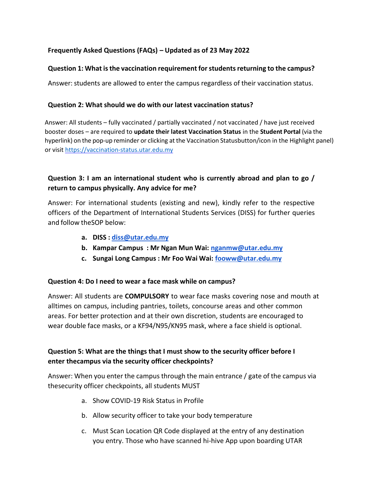### **Frequently Asked Questions (FAQs) – Updated as of 23 May 2022**

#### **Question 1: What is the vaccination requirement for students returning to the campus?**

Answer: students are allowed to enter the campus regardless of their vaccination status.

#### **Question 2: What should we do with our latest vaccination status?**

Answer: All students – fully vaccinated / partially vaccinated / not vaccinated / have just received booster doses – are required to **update their latest Vaccination Status** in the **Student Portal** (via the hyperlink) on the pop-up reminder or clicking at the Vaccination Statusbutton/icon in the Highlight panel) or visit [https://vaccination-status.utar.edu.my](https://vaccination-status.utar.edu.my/)

## **Question 3: I am an international student who is currently abroad and plan to go / return to campus physically. Any advice for me?**

Answer: For international students (existing and new), kindly refer to the respective officers of the Department of International Students Services (DISS) for further queries and follow theSOP below:

- **a. DISS : [diss@utar.edu.my](mailto:diss@utar.edu.my)**
- **b. Kampar Campus : Mr Ngan Mun Wai: [nganmw@utar.edu.my](mailto:nganmw@utar.edu.my)**
- **c. Sungai Long Campus : Mr Foo Wai Wai: [fooww@utar.edu.my](mailto:fooww@utar.edu.my)**

#### **Question 4: Do I need to wear a face mask while on campus?**

Answer: All students are **COMPULSORY** to wear face masks covering nose and mouth at alltimes on campus, including pantries, toilets, concourse areas and other common areas. For better protection and at their own discretion, students are encouraged to wear double face masks, or a KF94/N95/KN95 mask, where a face shield is optional.

## **Question 5: What are the things that I must show to the security officer before I enter thecampus via the security officer checkpoints?**

Answer: When you enter the campus through the main entrance / gate of the campus via thesecurity officer checkpoints, all students MUST

- a. Show COVID-19 Risk Status in Profile
- b. Allow security officer to take your body temperature
- c. Must Scan Location QR Code displayed at the entry of any destination you entry. Those who have scanned hi-hive App upon boarding UTAR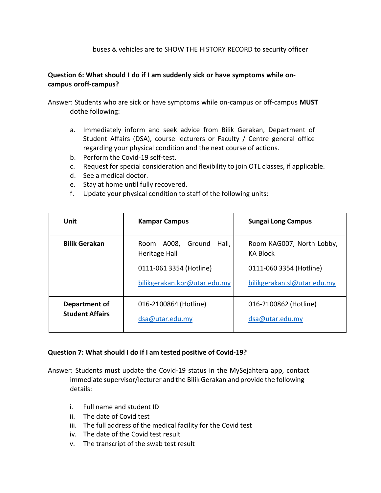#### buses & vehicles are to SHOW THE HISTORY RECORD to security officer

### **Question 6: What should I do if I am suddenly sick or have symptoms while oncampus oroff-campus?**

Answer: Students who are sick or have symptoms while on-campus or off-campus **MUST** dothe following:

- a. Immediately inform and seek advice from Bilik Gerakan, Department of Student Affairs (DSA), course lecturers or Faculty / Centre general office regarding your physical condition and the next course of actions.
- b. Perform the Covid-19 self-test.
- c. Request for special consideration and flexibility to join OTL classes, if applicable.
- d. See a medical doctor.
- e. Stay at home until fully recovered.
- f. Update your physical condition to staff of the following units:

| Unit                                                                                   | <b>Kampar Campus</b>                                    | <b>Sungai Long Campus</b>                              |
|----------------------------------------------------------------------------------------|---------------------------------------------------------|--------------------------------------------------------|
| <b>Bilik Gerakan</b>                                                                   | Hall,<br>A008, Ground<br>Room<br>Heritage Hall          | Room KAG007, North Lobby,<br><b>KA Block</b>           |
|                                                                                        | 0111-061 3354 (Hotline)<br>bilikgerakan.kpr@utar.edu.my | 0111-060 3354 (Hotline)<br>bilikgerakan.sl@utar.edu.my |
| Department of<br>016-2100864 (Hotline)<br><b>Student Affairs</b><br>$dsa@$ utar.edu.my |                                                         | 016-2100862 (Hotline)<br>dsa@utar.edu.my               |

#### **Question 7: What should I do if I am tested positive of Covid-19?**

Answer: Students must update the Covid-19 status in the MySejahtera app, contact immediate supervisor/lecturer and the Bilik Gerakan and provide the following details:

- i. Full name and student ID
- ii. The date of Covid test
- iii. The full address of the medical facility for the Covid test
- iv. The date of the Covid test result
- v. The transcript of the swab test result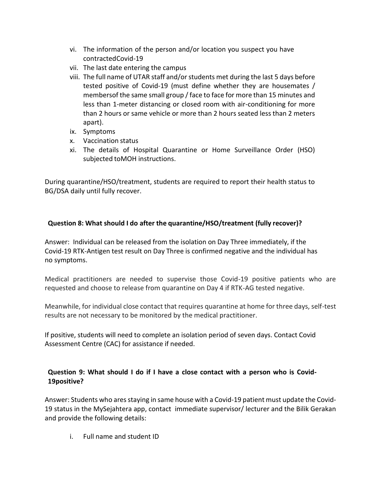- vi. The information of the person and/or location you suspect you have contractedCovid-19
- vii. The last date entering the campus
- viii. The full name of UTAR staff and/or students met during the last 5 days before tested positive of Covid-19 (must define whether they are housemates / membersof the same small group / face to face for more than 15 minutes and less than 1-meter distancing or closed room with air-conditioning for more than 2 hours or same vehicle or more than 2 hours seated less than 2 meters apart).
- ix. Symptoms
- x. Vaccination status
- xi. The details of Hospital Quarantine or Home Surveillance Order (HSO) subjected toMOH instructions.

During quarantine/HSO/treatment, students are required to report their health status to BG/DSA daily until fully recover.

## **Question 8: What should I do after the quarantine/HSO/treatment (fully recover)?**

Answer: Individual can be released from the isolation on Day Three immediately, if the Covid-19 RTK-Antigen test result on Day Three is confirmed negative and the individual has no symptoms.

Medical practitioners are needed to supervise those Covid-19 positive patients who are requested and choose to release from quarantine on Day 4 if RTK-AG tested negative.

Meanwhile, for individual close contact that requires quarantine at home for three days, self-test results are not necessary to be monitored by the medical practitioner.

If positive, students will need to complete an isolation period of seven days. Contact Covid Assessment Centre (CAC) for assistance if needed.

# **Question 9: What should I do if I have a close contact with a person who is Covid-19positive?**

Answer: Students who ares staying in same house with a Covid-19 patient must update the Covid-19 status in the MySejahtera app, contact immediate supervisor/ lecturer and the Bilik Gerakan and provide the following details:

i. Full name and student ID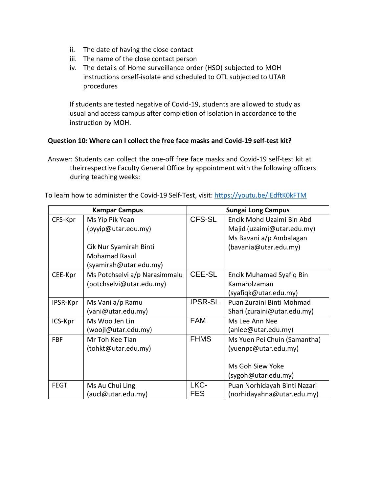- ii. The date of having the close contact
- iii. The name of the close contact person
- iv. The details of Home surveillance order (HSO) subjected to MOH instructions orself-isolate and scheduled to OTL subjected to UTAR procedures

If students are tested negative of Covid-19, students are allowed to study as usual and access campus after completion of Isolation in accordance to the instruction by MOH.

#### **Question 10: Where can I collect the free face masks and Covid-19 self-test kit?**

Answer: Students can collect the one-off free face masks and Covid-19 self-test kit at theirrespective Faculty General Office by appointment with the following officers during teaching weeks:

| To learn how to administer the Covid-19 Self-Test, visit: https://youtu.be/iEdftK0kFTM |  |  |
|----------------------------------------------------------------------------------------|--|--|
|----------------------------------------------------------------------------------------|--|--|

| <b>Kampar Campus</b> |                               | <b>Sungai Long Campus</b> |                              |
|----------------------|-------------------------------|---------------------------|------------------------------|
| CFS-Kpr              | Ms Yip Pik Yean               | CFS-SL                    | Encik Mohd Uzaimi Bin Abd    |
|                      | (pyyip@utar.edu.my)           |                           | Majid (uzaimi@utar.edu.my)   |
|                      |                               |                           | Ms Bavani a/p Ambalagan      |
|                      | Cik Nur Syamirah Binti        |                           | (bavania@utar.edu.my)        |
|                      | <b>Mohamad Rasul</b>          |                           |                              |
|                      | (syamirah@utar.edu.my)        |                           |                              |
| CEE-Kpr              | Ms Potchselvi a/p Narasimmalu | CEE-SL                    | Encik Muhamad Syafiq Bin     |
|                      | (potchselvi@utar.edu.my)      |                           | Kamarolzaman                 |
|                      |                               |                           | (syafiqk@utar.edu.my)        |
| IPSR-Kpr             | Ms Vani a/p Ramu              | <b>IPSR-SL</b>            | Puan Zuraini Binti Mohmad    |
|                      | (vani@utar.edu.my)            |                           | Shari (zuraini@utar.edu.my)  |
| ICS-Kpr              | Ms Woo Jen Lin                | <b>FAM</b>                | Ms Lee Ann Nee               |
|                      | (woojl@utar.edu.my)           |                           | (anlee@utar.edu.my)          |
| <b>FBF</b>           | Mr Toh Kee Tian               | <b>FHMS</b>               | Ms Yuen Pei Chuin (Samantha) |
|                      | (tohkt@utar.edu.my)           |                           | (yuenpc@utar.edu.my)         |
|                      |                               |                           |                              |
|                      |                               |                           | Ms Goh Siew Yoke             |
|                      |                               |                           | (sygoh@utar.edu.my)          |
| FEGT                 | Ms Au Chui Ling               | LKC-                      | Puan Norhidayah Binti Nazari |
|                      | (aucl@utar.edu.my)            | <b>FES</b>                | (norhidayahna@utar.edu.my)   |